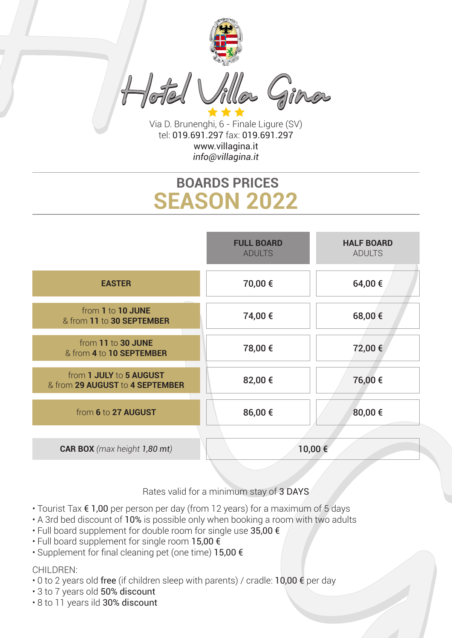

Via D. Brunenghi, 6 - Finale Ligure (SV) tel: 019.691.297 fax: 019.691.297 www.villagina.it *info@villagina.it*

## **SEASON 2022 BOARDS PRICES**



Rates valid for a minimum stay of 3 DAYS

- Tourist Tax € 1,00 per person per day (from 12 years) for a maximum of 5 days
- A 3rd bed discount of 10% is possible only when booking a room with two adults
- Full board supplement for double room for single use 35,00 €
- Full board supplement for single room 15,00 €
- Supplement for final cleaning pet (one time) 15,00 €

## CHILDREN:

- 0 to 2 years old free (if children sleep with parents) / cradle: 10,00  $\epsilon$  per day
- 3 to 7 years old 50% discount
- 8 to 11 years ild 30% discount